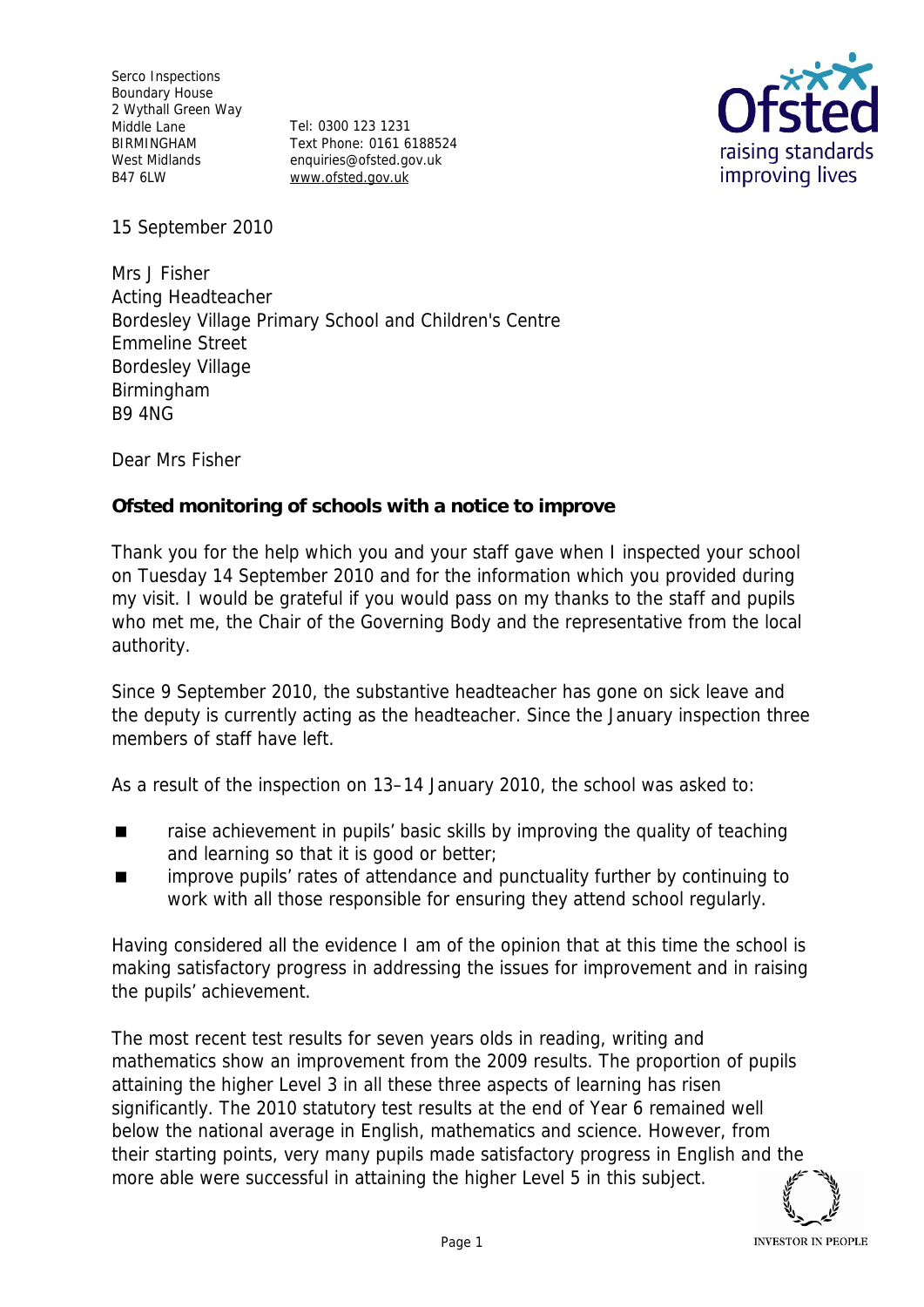Serco Inspections Boundary House 2 Wythall Green Way Middle Lane BIRMINGHAM West Midlands B47 6LW

Tel: 0300 123 1231 Text Phone: 0161 6188524 enquiries@ofsted.gov.uk www.ofsted.gov.uk



15 September 2010

Mrs J Fisher Acting Headteacher Bordesley Village Primary School and Children's Centre Emmeline Street Bordesley Village Birmingham B9 4NG

Dear Mrs Fisher

**Ofsted monitoring of schools with a notice to improve**

Thank you for the help which you and your staff gave when I inspected your school on Tuesday 14 September 2010 and for the information which you provided during my visit. I would be grateful if you would pass on my thanks to the staff and pupils who met me, the Chair of the Governing Body and the representative from the local authority.

Since 9 September 2010, the substantive headteacher has gone on sick leave and the deputy is currently acting as the headteacher. Since the January inspection three members of staff have left.

As a result of the inspection on 13–14 January 2010, the school was asked to:

- raise achievement in pupils' basic skills by improving the quality of teaching and learning so that it is good or better;
- improve pupils' rates of attendance and punctuality further by continuing to work with all those responsible for ensuring they attend school regularly.

Having considered all the evidence I am of the opinion that at this time the school is making satisfactory progress in addressing the issues for improvement and in raising the pupils' achievement.

The most recent test results for seven years olds in reading, writing and mathematics show an improvement from the 2009 results. The proportion of pupils attaining the higher Level 3 in all these three aspects of learning has risen significantly. The 2010 statutory test results at the end of Year 6 remained well below the national average in English, mathematics and science. However, from their starting points, very many pupils made satisfactory progress in English and the more able were successful in attaining the higher Level 5 in this subject.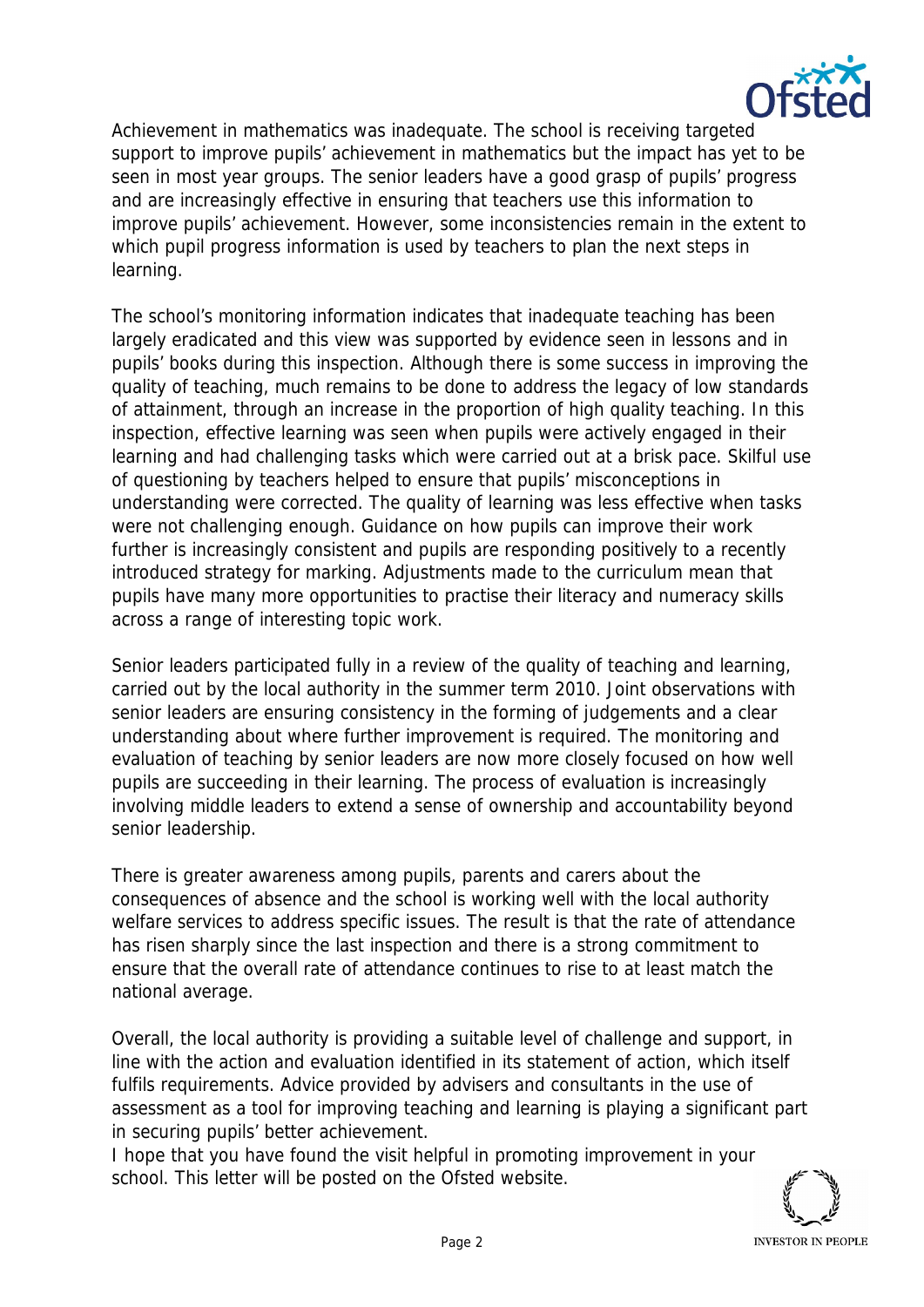

Achievement in mathematics was inadequate. The school is receiving targeted support to improve pupils' achievement in mathematics but the impact has yet to be seen in most year groups. The senior leaders have a good grasp of pupils' progress and are increasingly effective in ensuring that teachers use this information to improve pupils' achievement. However, some inconsistencies remain in the extent to which pupil progress information is used by teachers to plan the next steps in learning.

The school's monitoring information indicates that inadequate teaching has been largely eradicated and this view was supported by evidence seen in lessons and in pupils' books during this inspection. Although there is some success in improving the quality of teaching, much remains to be done to address the legacy of low standards of attainment, through an increase in the proportion of high quality teaching. In this inspection, effective learning was seen when pupils were actively engaged in their learning and had challenging tasks which were carried out at a brisk pace. Skilful use of questioning by teachers helped to ensure that pupils' misconceptions in understanding were corrected. The quality of learning was less effective when tasks were not challenging enough. Guidance on how pupils can improve their work further is increasingly consistent and pupils are responding positively to a recently introduced strategy for marking. Adjustments made to the curriculum mean that pupils have many more opportunities to practise their literacy and numeracy skills across a range of interesting topic work.

Senior leaders participated fully in a review of the quality of teaching and learning, carried out by the local authority in the summer term 2010. Joint observations with senior leaders are ensuring consistency in the forming of judgements and a clear understanding about where further improvement is required. The monitoring and evaluation of teaching by senior leaders are now more closely focused on how well pupils are succeeding in their learning. The process of evaluation is increasingly involving middle leaders to extend a sense of ownership and accountability beyond senior leadership.

There is greater awareness among pupils, parents and carers about the consequences of absence and the school is working well with the local authority welfare services to address specific issues. The result is that the rate of attendance has risen sharply since the last inspection and there is a strong commitment to ensure that the overall rate of attendance continues to rise to at least match the national average.

Overall, the local authority is providing a suitable level of challenge and support, in line with the action and evaluation identified in its statement of action, which itself fulfils requirements. Advice provided by advisers and consultants in the use of assessment as a tool for improving teaching and learning is playing a significant part in securing pupils' better achievement.

I hope that you have found the visit helpful in promoting improvement in your school. This letter will be posted on the Ofsted website.